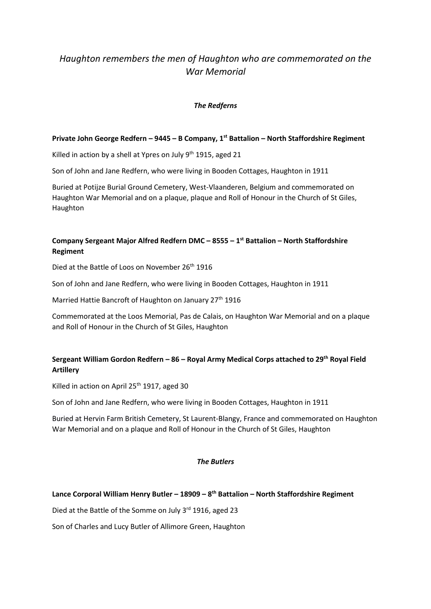# *Haughton remembers the men of Haughton who are commemorated on the War Memorial*

## *The Redferns*

### **Private John George Redfern – 9445 – B Company, 1st Battalion – North Staffordshire Regiment**

Killed in action by a shell at Ypres on July 9<sup>th</sup> 1915, aged 21

Son of John and Jane Redfern, who were living in Booden Cottages, Haughton in 1911

Buried at Potijze Burial Ground Cemetery, West-Vlaanderen, Belgium and commemorated on Haughton War Memorial and on a plaque, plaque and Roll of Honour in the Church of St Giles, Haughton

## **Company Sergeant Major Alfred Redfern DMC – 8555 – 1 st Battalion – North Staffordshire Regiment**

Died at the Battle of Loos on November 26<sup>th</sup> 1916

Son of John and Jane Redfern, who were living in Booden Cottages, Haughton in 1911

Married Hattie Bancroft of Haughton on January 27<sup>th</sup> 1916

Commemorated at the Loos Memorial, Pas de Calais, on Haughton War Memorial and on a plaque and Roll of Honour in the Church of St Giles, Haughton

## **Sergeant William Gordon Redfern – 86 – Royal Army Medical Corps attached to 29th Royal Field Artillery**

Killed in action on April 25<sup>th</sup> 1917, aged 30

Son of John and Jane Redfern, who were living in Booden Cottages, Haughton in 1911

Buried at Hervin Farm British Cemetery, St Laurent-Blangy, France and commemorated on Haughton War Memorial and on a plaque and Roll of Honour in the Church of St Giles, Haughton

### *The Butlers*

## **Lance Corporal William Henry Butler – 18909 – 8 th Battalion – North Staffordshire Regiment**

Died at the Battle of the Somme on July 3rd 1916, aged 23

Son of Charles and Lucy Butler of Allimore Green, Haughton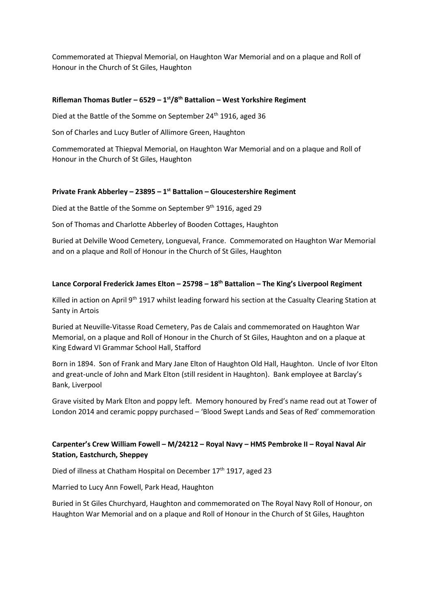Commemorated at Thiepval Memorial, on Haughton War Memorial and on a plaque and Roll of Honour in the Church of St Giles, Haughton

## **Rifleman Thomas Butler – 6529 – 1 st/8 th Battalion – West Yorkshire Regiment**

Died at the Battle of the Somme on September 24<sup>th</sup> 1916, aged 36

Son of Charles and Lucy Butler of Allimore Green, Haughton

Commemorated at Thiepval Memorial, on Haughton War Memorial and on a plaque and Roll of Honour in the Church of St Giles, Haughton

### **Private Frank Abberley – 23895 – 1 st Battalion – Gloucestershire Regiment**

Died at the Battle of the Somme on September 9<sup>th</sup> 1916, aged 29

Son of Thomas and Charlotte Abberley of Booden Cottages, Haughton

Buried at Delville Wood Cemetery, Longueval, France. Commemorated on Haughton War Memorial and on a plaque and Roll of Honour in the Church of St Giles, Haughton

### **Lance Corporal Frederick James Elton – 25798 – 18th Battalion – The King's Liverpool Regiment**

Killed in action on April 9<sup>th</sup> 1917 whilst leading forward his section at the Casualty Clearing Station at Santy in Artois

Buried at Neuville-Vitasse Road Cemetery, Pas de Calais and commemorated on Haughton War Memorial, on a plaque and Roll of Honour in the Church of St Giles, Haughton and on a plaque at King Edward VI Grammar School Hall, Stafford

Born in 1894. Son of Frank and Mary Jane Elton of Haughton Old Hall, Haughton. Uncle of Ivor Elton and great-uncle of John and Mark Elton (still resident in Haughton). Bank employee at Barclay's Bank, Liverpool

Grave visited by Mark Elton and poppy left. Memory honoured by Fred's name read out at Tower of London 2014 and ceramic poppy purchased – 'Blood Swept Lands and Seas of Red' commemoration

## **Carpenter's Crew William Fowell – M/24212 – Royal Navy – HMS Pembroke II – Royal Naval Air Station, Eastchurch, Sheppey**

Died of illness at Chatham Hospital on December 17<sup>th</sup> 1917, aged 23

Married to Lucy Ann Fowell, Park Head, Haughton

Buried in St Giles Churchyard, Haughton and commemorated on The Royal Navy Roll of Honour, on Haughton War Memorial and on a plaque and Roll of Honour in the Church of St Giles, Haughton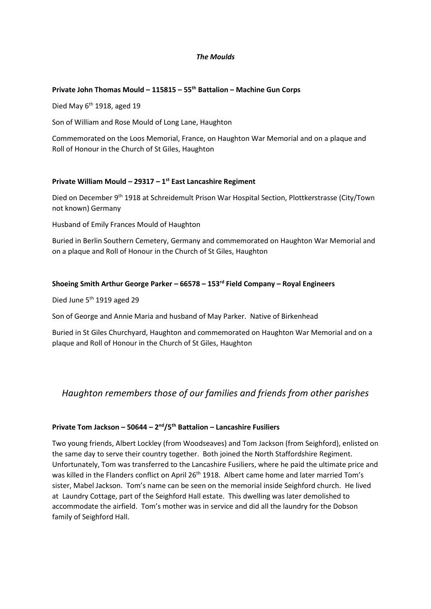### *The Moulds*

### **Private John Thomas Mould – 115815 – 55th Battalion – Machine Gun Corps**

Died May  $6<sup>th</sup>$  1918, aged 19

Son of William and Rose Mould of Long Lane, Haughton

Commemorated on the Loos Memorial, France, on Haughton War Memorial and on a plaque and Roll of Honour in the Church of St Giles, Haughton

## **Private William Mould – 29317 – 1 st East Lancashire Regiment**

Died on December 9<sup>th</sup> 1918 at Schreidemult Prison War Hospital Section, Plottkerstrasse (City/Town not known) Germany

Husband of Emily Frances Mould of Haughton

Buried in Berlin Southern Cemetery, Germany and commemorated on Haughton War Memorial and on a plaque and Roll of Honour in the Church of St Giles, Haughton

### **Shoeing Smith Arthur George Parker – 66578 – 153rd Field Company – Royal Engineers**

Died June 5<sup>th</sup> 1919 aged 29

Son of George and Annie Maria and husband of May Parker. Native of Birkenhead

Buried in St Giles Churchyard, Haughton and commemorated on Haughton War Memorial and on a plaque and Roll of Honour in the Church of St Giles, Haughton

## *Haughton remembers those of our families and friends from other parishes*

## **Private Tom Jackson – 50644 – 2 nd/5 th Battalion – Lancashire Fusiliers**

Two young friends, Albert Lockley (from Woodseaves) and Tom Jackson (from Seighford), enlisted on the same day to serve their country together. Both joined the North Staffordshire Regiment. Unfortunately, Tom was transferred to the Lancashire Fusiliers, where he paid the ultimate price and was killed in the Flanders conflict on April 26<sup>th</sup> 1918. Albert came home and later married Tom's sister, Mabel Jackson. Tom's name can be seen on the memorial inside Seighford church. He lived at Laundry Cottage, part of the Seighford Hall estate. This dwelling was later demolished to accommodate the airfield. Tom's mother was in service and did all the laundry for the Dobson family of Seighford Hall.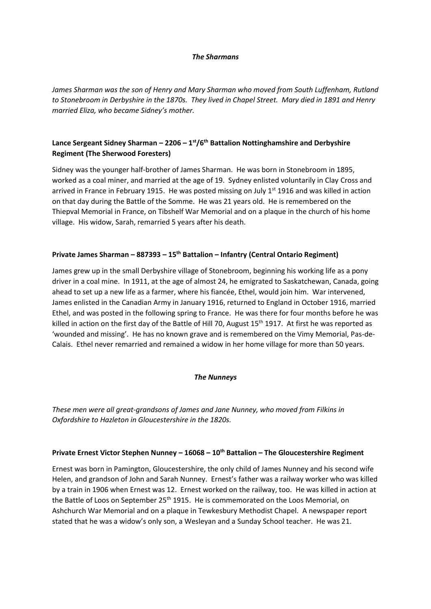#### *The Sharmans*

*James Sharman was the son of Henry and Mary Sharman who moved from South Luffenham, Rutland to Stonebroom in Derbyshire in the 1870s. They lived in Chapel Street. Mary died in 1891 and Henry married Eliza, who became Sidney's mother.* 

## **Lance Sergeant Sidney Sharman – 2206 – 1 st/6th Battalion Nottinghamshire and Derbyshire Regiment (The Sherwood Foresters)**

Sidney was the younger half-brother of James Sharman. He was born in Stonebroom in 1895, worked as a coal miner, and married at the age of 19. Sydney enlisted voluntarily in Clay Cross and arrived in France in February 1915. He was posted missing on July  $1<sup>st</sup>$  1916 and was killed in action on that day during the Battle of the Somme. He was 21 years old. He is remembered on the Thiepval Memorial in France, on Tibshelf War Memorial and on a plaque in the church of his home village. His widow, Sarah, remarried 5 years after his death.

## **Private James Sharman – 887393 – 15th Battalion – Infantry (Central Ontario Regiment)**

James grew up in the small Derbyshire village of Stonebroom, beginning his working life as a pony driver in a coal mine. In 1911, at the age of almost 24, he emigrated to Saskatchewan, Canada, going ahead to set up a new life as a farmer, where his fiancée, Ethel, would join him. War intervened, James enlisted in the Canadian Army in January 1916, returned to England in October 1916, married Ethel, and was posted in the following spring to France. He was there for four months before he was killed in action on the first day of the Battle of Hill 70, August 15<sup>th</sup> 1917. At first he was reported as 'wounded and missing'. He has no known grave and is remembered on the Vimy Memorial, Pas-de-Calais. Ethel never remarried and remained a widow in her home village for more than 50 years.

### *The Nunneys*

*These men were all great-grandsons of James and Jane Nunney, who moved from Filkins in Oxfordshire to Hazleton in Gloucestershire in the 1820s.*

### **Private Ernest Victor Stephen Nunney – 16068 – 10th Battalion – The Gloucestershire Regiment**

Ernest was born in Pamington, Gloucestershire, the only child of James Nunney and his second wife Helen, and grandson of John and Sarah Nunney. Ernest's father was a railway worker who was killed by a train in 1906 when Ernest was 12. Ernest worked on the railway, too. He was killed in action at the Battle of Loos on September 25<sup>th</sup> 1915. He is commemorated on the Loos Memorial, on Ashchurch War Memorial and on a plaque in Tewkesbury Methodist Chapel. A newspaper report stated that he was a widow's only son, a Wesleyan and a Sunday School teacher. He was 21.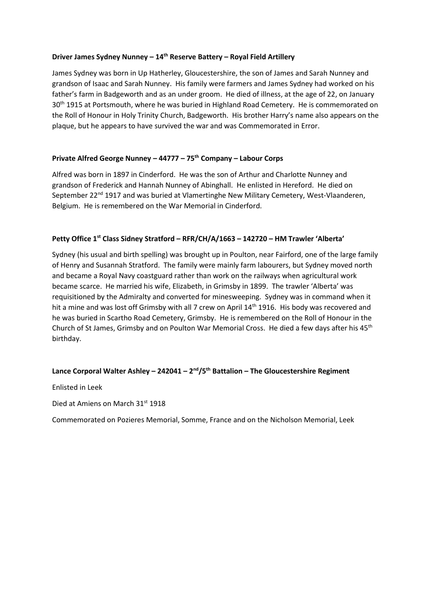### **Driver James Sydney Nunney – 14th Reserve Battery – Royal Field Artillery**

James Sydney was born in Up Hatherley, Gloucestershire, the son of James and Sarah Nunney and grandson of Isaac and Sarah Nunney. His family were farmers and James Sydney had worked on his father's farm in Badgeworth and as an under groom. He died of illness, at the age of 22, on January 30<sup>th</sup> 1915 at Portsmouth, where he was buried in Highland Road Cemetery. He is commemorated on the Roll of Honour in Holy Trinity Church, Badgeworth. His brother Harry's name also appears on the plaque, but he appears to have survived the war and was Commemorated in Error.

## **Private Alfred George Nunney – 44777 – 75th Company – Labour Corps**

Alfred was born in 1897 in Cinderford. He was the son of Arthur and Charlotte Nunney and grandson of Frederick and Hannah Nunney of Abinghall. He enlisted in Hereford. He died on September 22<sup>nd</sup> 1917 and was buried at Vlamertinghe New Military Cemetery, West-Vlaanderen, Belgium. He is remembered on the War Memorial in Cinderford.

### **Petty Office 1st Class Sidney Stratford – RFR/CH/A/1663 – 142720 – HM Trawler 'Alberta'**

Sydney (his usual and birth spelling) was brought up in Poulton, near Fairford, one of the large family of Henry and Susannah Stratford. The family were mainly farm labourers, but Sydney moved north and became a Royal Navy coastguard rather than work on the railways when agricultural work became scarce. He married his wife, Elizabeth, in Grimsby in 1899. The trawler 'Alberta' was requisitioned by the Admiralty and converted for minesweeping. Sydney was in command when it hit a mine and was lost off Grimsby with all 7 crew on April 14<sup>th</sup> 1916. His body was recovered and he was buried in Scartho Road Cemetery, Grimsby. He is remembered on the Roll of Honour in the Church of St James, Grimsby and on Poulton War Memorial Cross. He died a few days after his 45th birthday.

### **Lance Corporal Walter Ashley – 242041 – 2 nd/5th Battalion – The Gloucestershire Regiment**

Enlisted in Leek

Died at Amiens on March 31st 1918

Commemorated on Pozieres Memorial, Somme, France and on the Nicholson Memorial, Leek